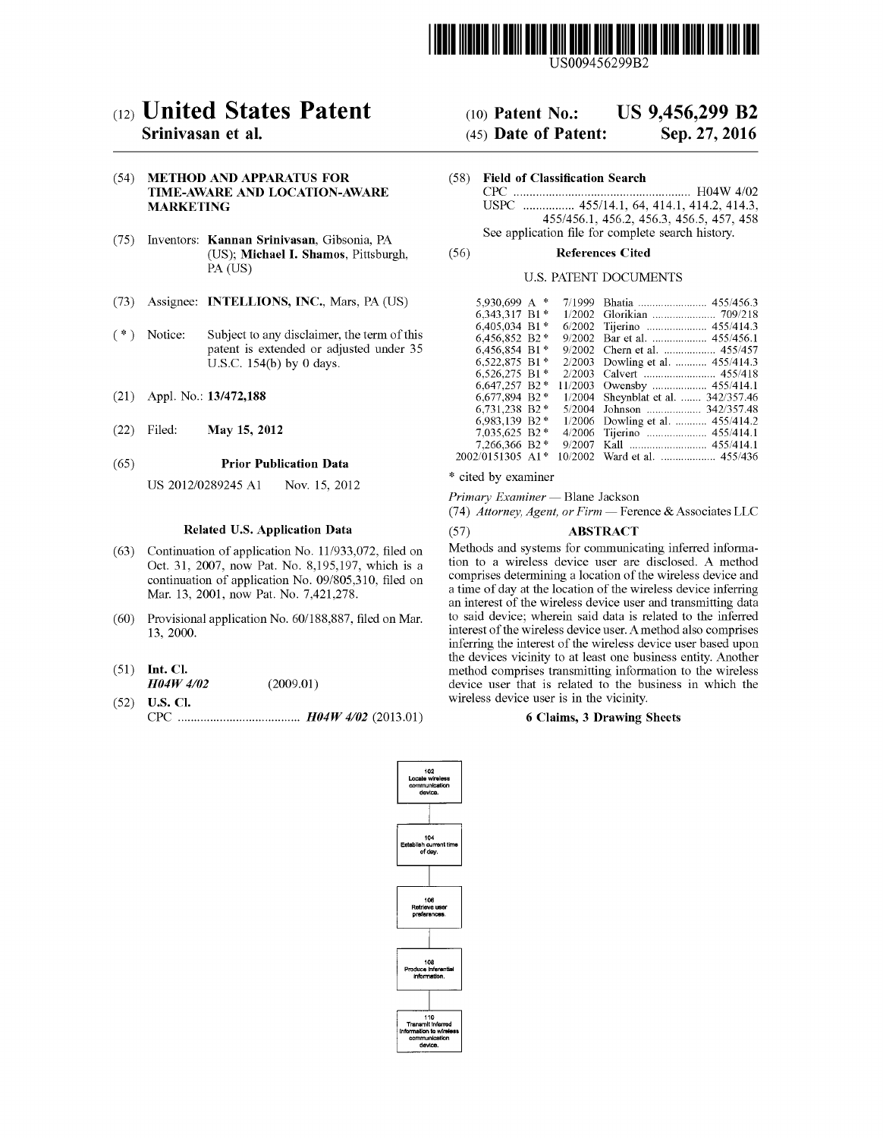

US009456299B2

# c12) **United States Patent**

## **Srinivasan et al.**

#### (54) **METHOD AND APPARATUS FOR TIME-AWARE AND LOCATION-AWARE MARKETING**

- (75) Inventors: **Kannan Srinivasan,** Gibsonia, PA (US); **Michael I. Shamos,** Pittsburgh, PA (US)
- (73) Assignee: **INTELLIONS, INC.,** Mars, PA (US)
- $(*)$  Notice: Subject to any disclaimer, the term of this patent is extended or adjusted under 35 U.S.C. 154(b) by O days.
- (21) Appl. No.: **13/472,188**
- (22) Filed: **May 15, 2012**

#### (65) **Prior Publication Data**

US 2012/0289245 Al Nov. 15, 2012

#### **Related U.S. Application Data**

- (63) Continuation of application No. 11/933,072, filed on Oct. 31, 2007, now Pat. No. 8,195,197, which is a continuation of application No. 09/805,310, filed on Mar. 13, 2001, now Pat. No. 7,421,278.
- (60) Provisional application No. 60/188,887, filed on Mar. 13, 2000.
- (51) **Int. Cl.**  *H04W 4102* (2009.01)
- (52) **U.S. Cl.**  CPC ...................................... *H04W 4102* (2013.01)

## (IO) **Patent No.: US 9,456,299 B2**

## (45) **Date of Patent: Sep.27,2016**

- (58) **Field of Classification Search** 
	- CPC ....................................................... H04W 4/02 USPC ................ 455/14.1, 64, 414.1, 414.2, 414.3, 455/456.1, 456.2, 456.3, 456.5, 457, 458 See application file for complete search history.

#### (56) **References Cited**

#### U.S. PATENT DOCUMENTS

| 5.930.699 A $*$  | 7/1999  |                                     |
|------------------|---------|-------------------------------------|
| 6.343.317 B1*    | 1/2002  |                                     |
| 6.405.034 B1*    |         | 6/2002 Tijerino  455/414.3          |
| 6,456,852 B2*    |         | 9/2002 Bar et al.  455/456.1        |
| 6,456,854 B1*    |         | 9/2002 Chern et al.  455/457        |
| 6.522.875 B1*    |         | 2/2003 Dowling et al.  455/414.3    |
| $6.526.275 B1*$  | 2/2003  |                                     |
| 6,647,257 B2 *   |         |                                     |
| 6.677.894 B2*    |         | 1/2004 Sheynblat et al.  342/357.46 |
| 6,731,238 B2*    | 5/2004  |                                     |
| 6.983,139 B2*    |         | 1/2006 Dowling et al.  455/414.2    |
| 7.035.625 B2 *   | 4/2006  |                                     |
| 7,266,366 B2 *   | 9/2007  |                                     |
| 2002/0151305 A1* | 10/2002 |                                     |

\* cited by examiner

*Primary Examiner* - Blane Jackson

(74) *Attorney, Agent, or Firm* - Ference & Associates LLC

#### (57) **ABSTRACT**

Methods and systems for communicating inferred information to a wireless device user are disclosed. A method comprises determining a location of the wireless device and a time of day at the location of the wireless device inferring an interest of the wireless device user and transmitting data to said device; wherein said data is related to the inferred interest of the wireless device user. A method also comprises inferring the interest of the wireless device user based upon the devices vicinity to at least one business entity. Another method comprises transmitting information to the wireless device user that is related to the business in which the wireless device user is in the vicinity.

#### **6 Claims, 3 Drawing Sheets**

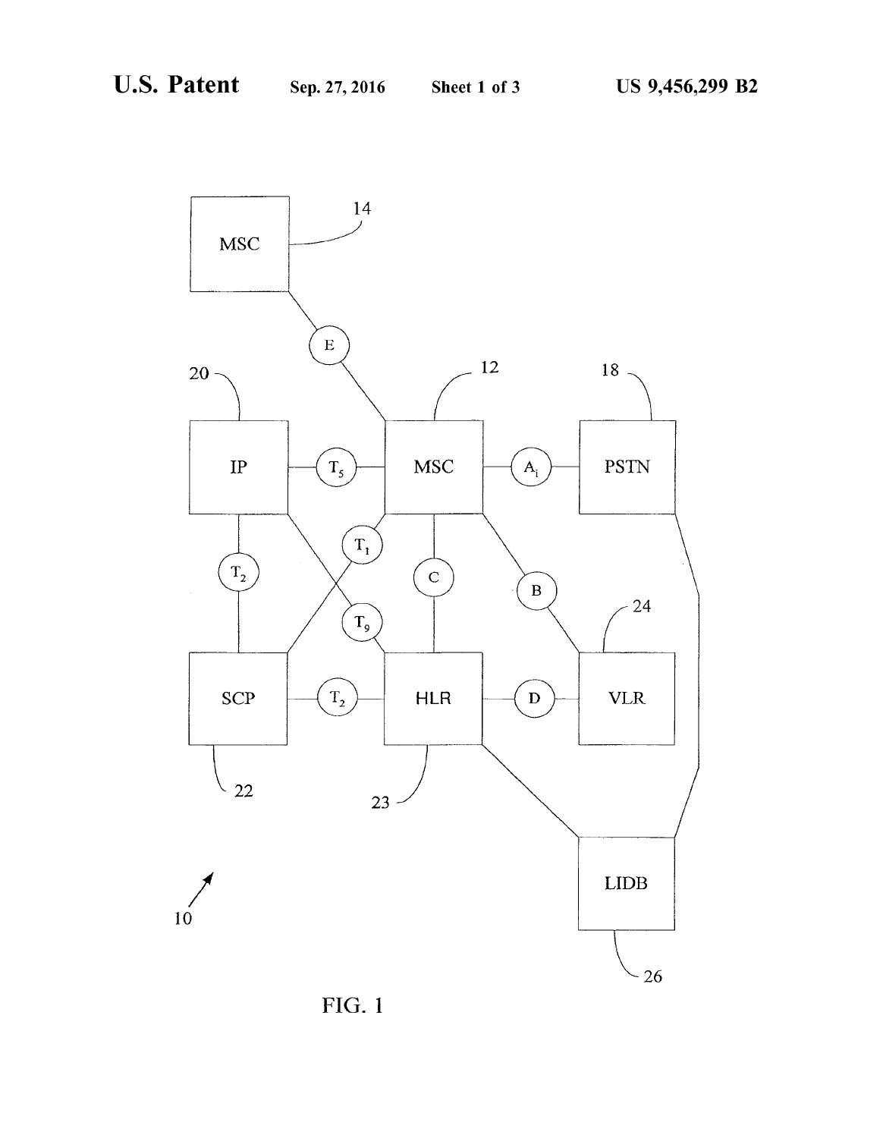

FIG. 1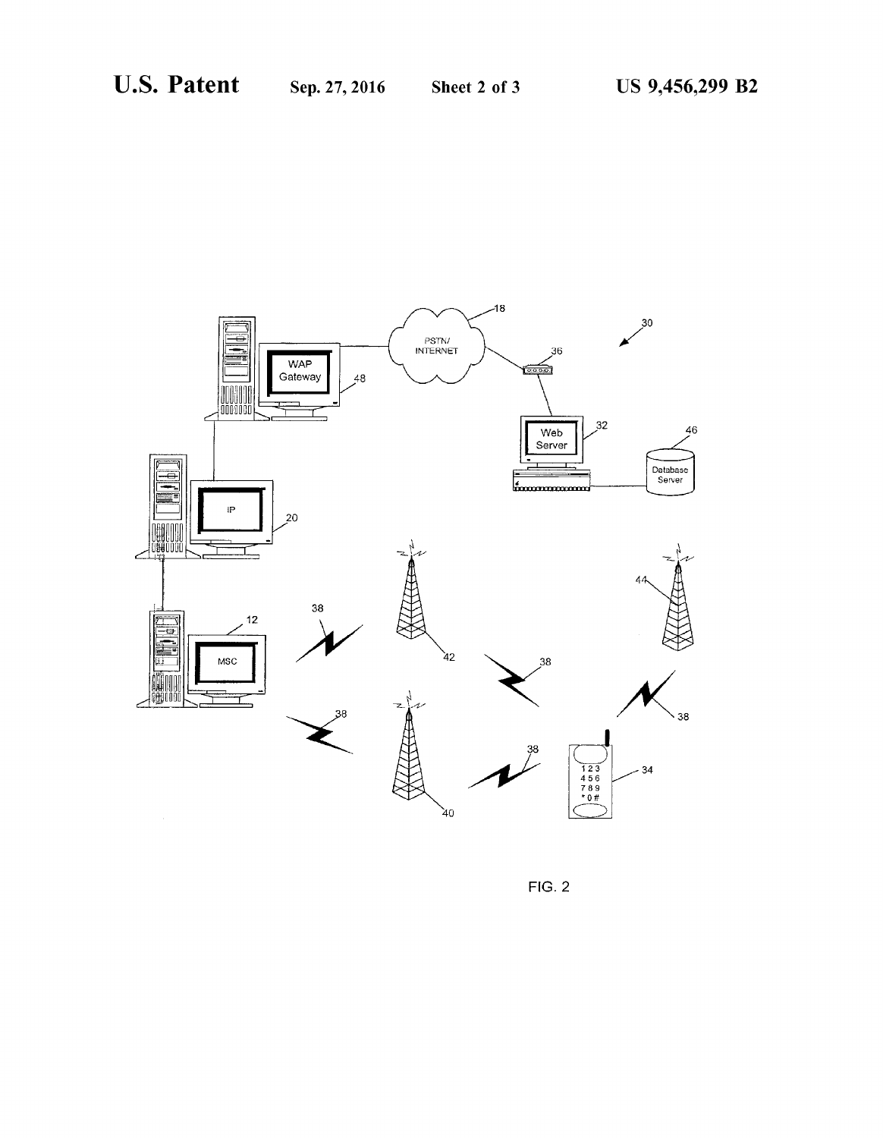

FIG. 2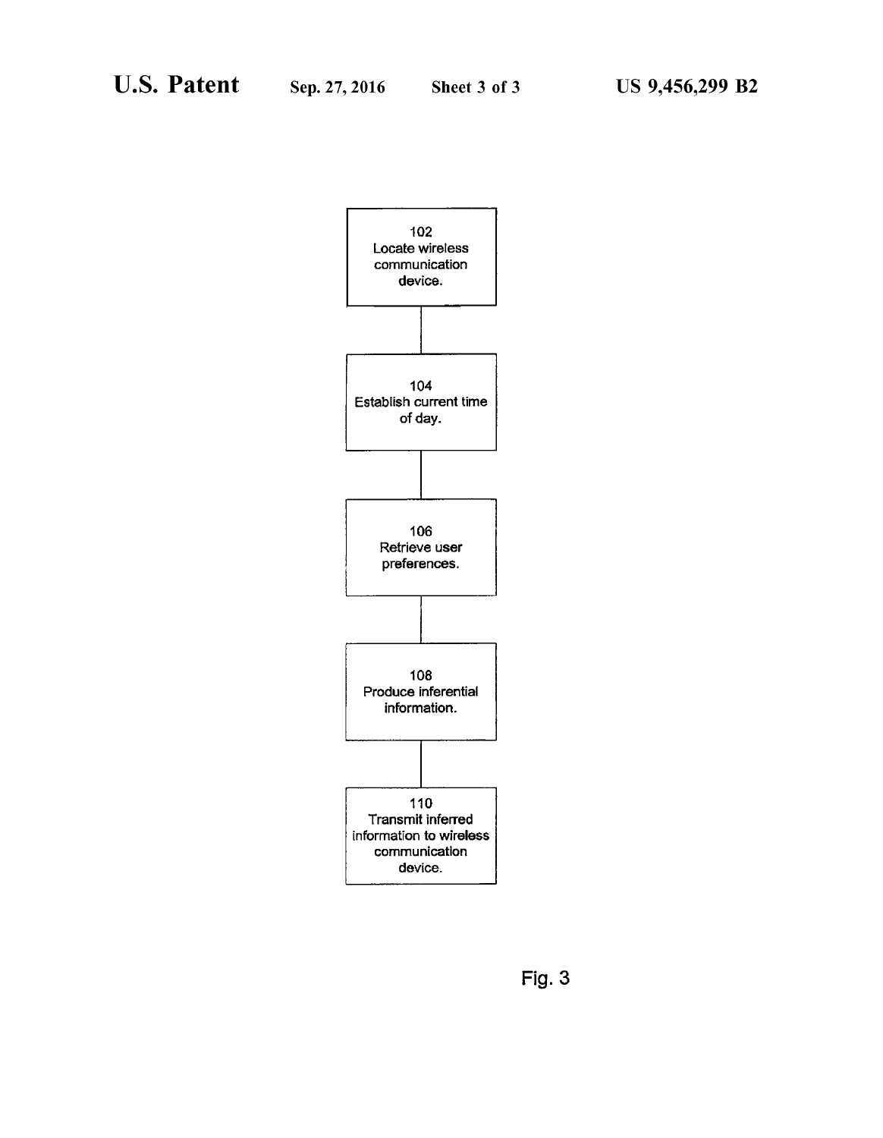

**Fig. 3**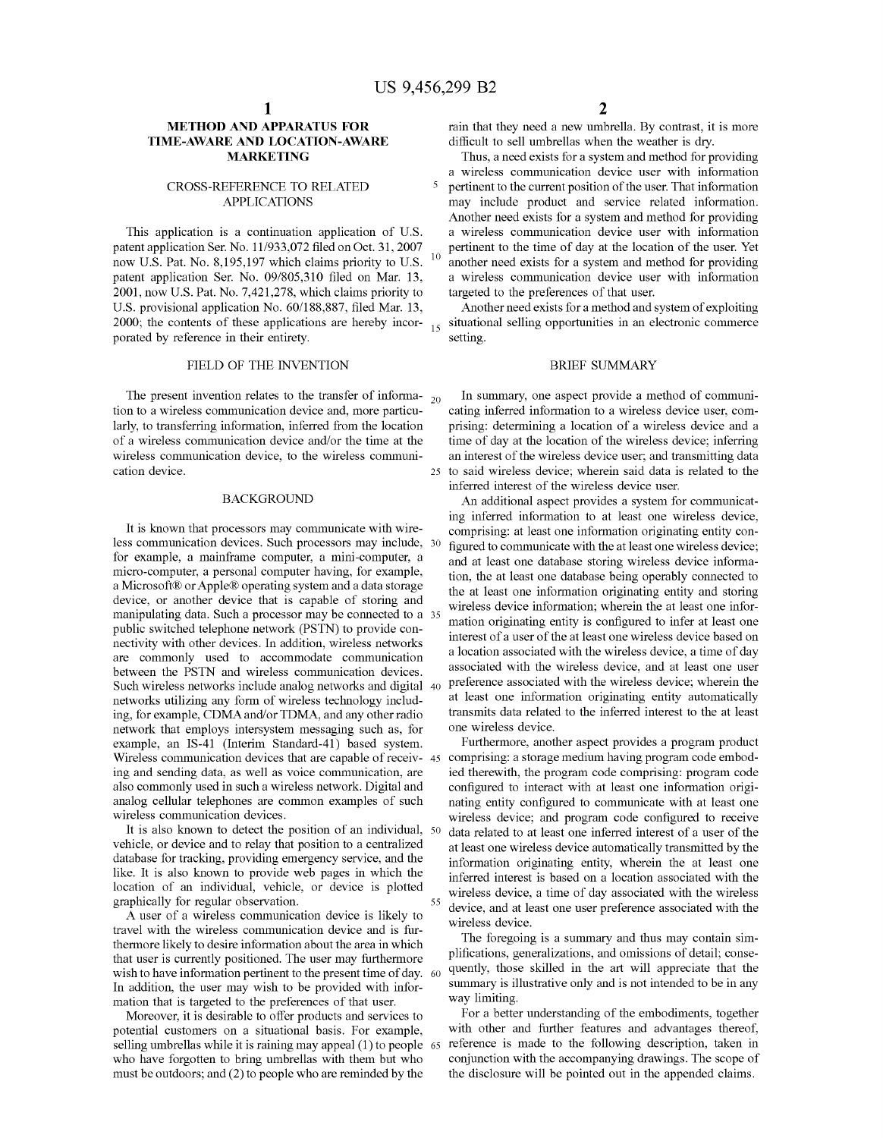#### **METHOD AND APPARATUS FOR TIME-AWARE AND LOCATION-AWARE MARKETING**

#### CROSS-REFERENCE TO RELATED APPLICATIONS

This application is a continuation application of U.S. patent application Ser. No. 11/933,072 filed on Oct. 31, 2007 now U.S. Pat. No. 8,195,197 which claims priority to U.S. patent application Ser. No. 09/805,310 filed on Mar. 13, 2001, now U.S. Pat. No. 7,421,278, which claims priority to U.S. provisional application No. 60/188,887, filed Mar. 13, 2000; the contents of these applications are hereby incorporated by reference in their entirety.

#### FIELD OF THE INVENTION

The present invention relates to the transfer of informa-  $_{20}$ tion to a wireless communication device and, more particularly, to transferring information, inferred from the location of a wireless communication device and/or the time at the wireless communication device, to the wireless communication device. 25 to said wireless device; wherein said data is related to the

less communication devices. Such processors may include, for example, a mainframe computer, a mini-computer, a micro-computer, a personal computer having, for example, a Microsoft® or Apple® operating system and a data storage device, or another device that is capable of storing and manipulating data. Such a processor may be connected to a public switched telephone network (PSTN) to provide connectivity with other devices. In addition, wireless networks are commonly used to accommodate communication between the PSTN and wireless communication devices. Such wireless networks include analog networks and digital 40 networks utilizing any form of wireless technology including, for example, CDMA and/or TDMA, and any other radio network that employs intersystem messaging such as, for example, an IS-41 (Interim Standard-41) based system. Wireless communication devices that are capable of receiv- 45 ing and sending data, as well as voice communication, are also commonly used in such a wireless network. Digital and analog cellular telephones are common examples of such wireless communication devices.

It is also known to detect the position of an individual, 50 vehicle, or device and to relay that position to a centralized database for tracking, providing emergency service, and the like. It is also known to provide web pages in which the location of an individual, vehicle, or device is plotted graphically for regular observation.

A user of a wireless communication device is likely to travel with the wireless communication device and is furthermore likely to desire information about the area in which that user is currently positioned. The user may furthermore wish to have information pertinent to the present time of day. 60 In addition, the user may wish to be provided with information that is targeted to the preferences of that user.

Moreover, it is desirable to offer products and services to potential customers on a situational basis. For example, selling umbrellas while it is raining may appeal (1) to people 65 who have forgotten to bring umbrellas with them but who must be outdoors; and (2) to people who are reminded by the

rain that they need a new umbrella. By contrast, it is more difficult to sell umbrellas when the weather is dry.

Thus, a need exists for a system and method for providing a wireless communication device user with information 5 pertinent to the current position of the user. That information may include product and service related information. Another need exists for a system and method for providing a wireless communication device user with information  $\frac{10}{10}$  another need exists for a system and method for providing a wireless communication device user with information targeted to the preferences of that user.

Another need exists for a method and system of exploiting situational selling opportunities in an electronic commerce setting.

#### BRIEF SUMMARY

In summary, one aspect provide a method of communicating inferred information to a wireless device user, comprising: determining a location of a wireless device and a time of day at the location of the wireless device; inferring an interest of the wireless device user; and transmitting data inferred interest of the wireless device user.

BACKGROUND An additional aspect provides a system for communicating inferred information to at least one wireless device, It is known that processors may communicate with wire-<br>comprising: at least one information originating entity configured to communicate with the at least one wireless device; and at least one database storing wireless device information, the at least one database being operably connected to the at least one information originating entity and storing wireless device information; wherein the at least one information originating entity is configured to infer at least one interest of a user of the at least one wireless device based on a location associated with the wireless device, a time of day associated with the wireless device, and at least one user preference associated with the wireless device; wherein the at least one information originating entity automatically transmits data related to the inferred interest to the at least one wireless device.

> Furthermore, another aspect provides a program product comprising: a storage medium having program code embodied therewith, the program code comprising: program code configured to interact with at least one information originating entity configured to communicate with at least one wireless device; and program code configured to receive data related to at least one inferred interest of a user of the at least one wireless device automatically transmitted by the information originating entity, wherein the at least one inferred interest is based on a location associated with the wireless device, a time of day associated with the wireless device, and at least one user preference associated with the wireless device.

> The foregoing is a summary and thus may contain simplifications, generalizations, and omissions of detail; consequently, those skilled in the art will appreciate that the summary is illustrative only and is not intended to be in any way limiting.

> For a better understanding of the embodiments, together with other and further features and advantages thereof, reference is made to the following description, taken in conjunction with the accompanying drawings. The scope of the disclosure will be pointed out in the appended claims.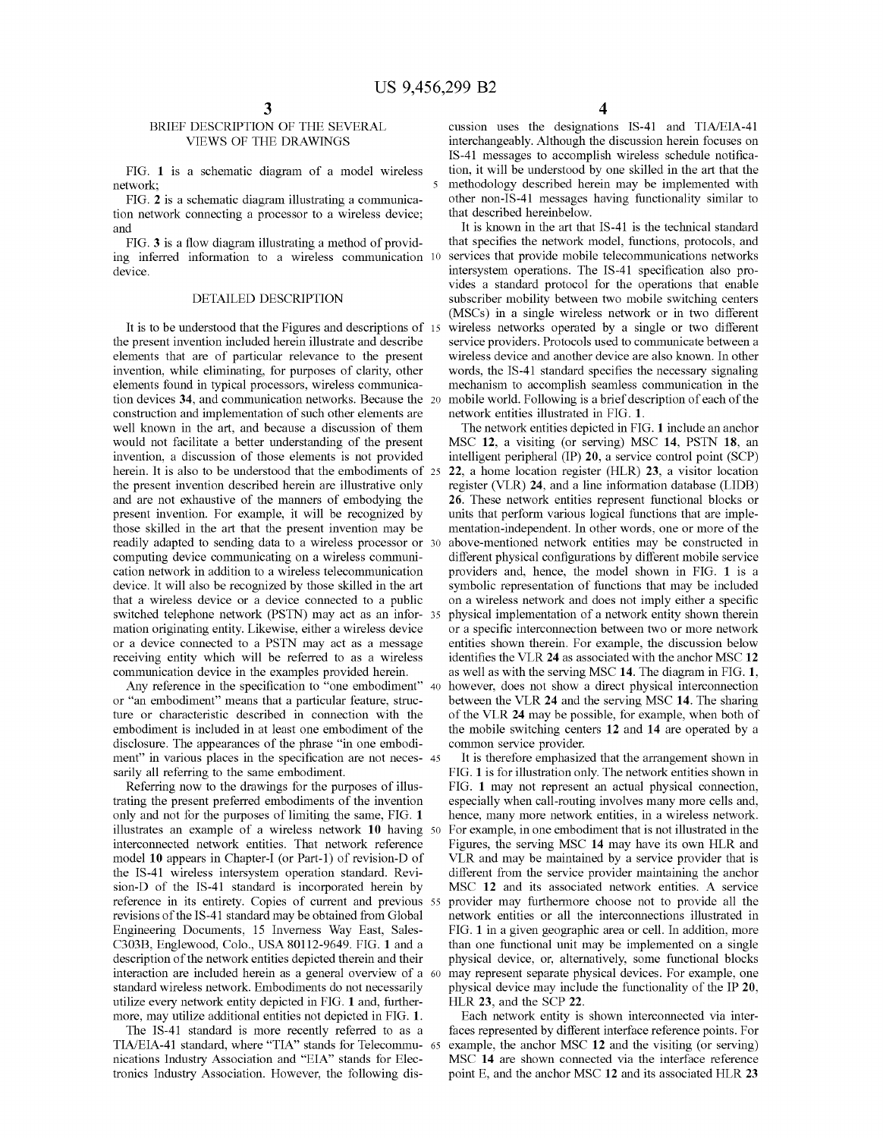#### BRIEF DESCRIPTION OF THE SEVERAL VIEWS OF THE DRAWINGS

network;

FIG. **2** is a schematic diagram illustrating a communication network connecting a processor to a wireless device; and

FIG. **3** is a flow diagram illustrating a method of providing inferred information to a wireless communication 10 device.

#### DETAILED DESCRIPTION

It is to be understood that the Figures and descriptions of 15 the present invention included herein illustrate and describe elements that are of particular relevance to the present invention, while eliminating, for purposes of clarity, other elements found in typical processors, wireless communication devices **34,** and communication networks. Because the construction and implementation of such other elements are well known in the art, and because a discussion of them would not facilitate a better understanding of the present invention, a discussion of those elements is not provided herein. It is also to be understood that the embodiments of 25 the present invention described herein are illustrative only and are not exhaustive of the manners of embodying the present invention. For example, it will be recognized by those skilled in the art that the present invention may be readily adapted to sending data to a wireless processor or computing device communicating on a wireless communication network in addition to a wireless telecommunication device. It will also be recognized by those skilled in the art that a wireless device or a device connected to a public switched telephone network (PSTN) may act as an information originating entity. Likewise, either a wireless device or a device connected to a PSTN may act as a message receiving entity which will be referred to as a wireless communication device in the examples provided herein.

Any reference in the specification to "one embodiment" 40 or "an embodiment" means that a particular feature, structure or characteristic described in connection with the embodiment is included in at least one embodiment of the disclosure. The appearances of the phrase "in one embodiment" in various places in the specification are not neces- 45 sarily all referring to the same embodiment.

Referring now to the drawings for the purposes of illustrating the present preferred embodiments of the invention only and not for the purposes of limiting the same, FIG. **1**  illustrates an example of a wireless network **10** having interconnected network entities. That network reference model **10** appears in Chapter-I (or Part-I) of revision-D of the IS-41 wireless intersystem operation standard. Revision-D of the IS-41 standard is incorporated herein by reference in its entirety. Copies of current and previous 55 revisions of the IS-41 standard may be obtained from Global Engineering Documents, 15 Inverness Way East, Sales-C303B, Englewood, Colo., USA 80112-9649. FIG. **1** and a description of the network entities depicted therein and their interaction are included herein as a general overview of a 60 standard wireless network. Embodiments do not necessarily utilize every network entity depicted in FIG. **1** and, furthermore, may utilize additional entities not depicted in FIG. **1.** 

The IS-41 standard is more recently referred to as a TIA/EIA-41 standard, where "TIA" stands for Telecommu- 65 nications Industry Association and "EIA" stands for Electronics Industry Association. However, the following dis-

cussion uses the designations IS-41 and TIA/EIA-41 interchangeably. Although the discussion herein focuses on IS-41 messages to accomplish wireless schedule notifica-FIG. **1** is a schematic diagram of a model wireless tion, it will be understood by one skilled in the art that the 5 methodology described herein may be implemented with other non-IS-41 messages having functionality similar to that described hereinbelow.

> It is known in the art that IS-41 is the technical standard that specifies the network model, functions, protocols, and services that provide mobile telecommunications networks intersystem operations. The IS-41 specification also provides a standard protocol for the operations that enable subscriber mobility between two mobile switching centers (MSCs) in a single wireless network or in two different wireless networks operated by a single or two different service providers. Protocols used to communicate between a wireless device and another device are also known. In other words, the IS-41 standard specifies the necessary signaling mechanism to accomplish seamless communication in the mobile world. Following is a brief description of each of the network entities illustrated in FIG. **1.**

> The network entities depicted in FIG. **1** include an anchor MSC **12,** a visiting (or serving) MSC **14,** PSTN **18,** an intelligent peripheral (IP) **20,** a service control point (SCP) **22,** a home location register (HLR) **23,** a visitor location register (VLR) **24,** and a line information database (LIDB) **26.** These network entities represent functional blocks or units that perform various logical functions that are implementation-independent. In other words, one or more of the above-mentioned network entities may be constructed in different physical configurations by different mobile service providers and, hence, the model shown in FIG. **1** is a symbolic representation of functions that may be included on a wireless network and does not imply either a specific physical implementation of a network entity shown therein or a specific interconnection between two or more network entities shown therein. For example, the discussion below identifies the VLR **24** as associated with the anchor MSC **12**  as well as with the serving MSC **14.** The diagram in FIG. **1,**  however, does not show a direct physical interconnection between the VLR **24** and the serving MSC **14.** The sharing of the VLR **24** may be possible, for example, when both of the mobile switching centers **12** and **14** are operated by a common service provider.

> It is therefore emphasized that the arrangement shown in FIG. **1** is for illustration only. The network entities shown in FIG. **1** may not represent an actual physical connection, especially when call-routing involves many more cells and, hence, many more network entities, in a wireless network. 50 For example, in one embodiment that is not illustrated in the Figures, the serving MSC **14** may have its own HLR and VLR and may be maintained by a service provider that is different from the service provider maintaining the anchor MSC **12** and its associated network entities. A service provider may furthermore choose not to provide all the network entities or all the interconnections illustrated in FIG. **1** in a given geographic area or cell. In addition, more than one functional unit may be implemented on a single physical device, or, alternatively, some functional blocks may represent separate physical devices. For example, one physical device may include the functionality of the IP **20,**  HLR **23,** and the SCP **22.**

> Each network entity is shown interconnected via interfaces represented by different interface reference points. For example, the anchor MSC 12 and the visiting (or serving) MSC **14** are shown connected via the interface reference point E, and the anchor MSC **12** and its associated HLR **23**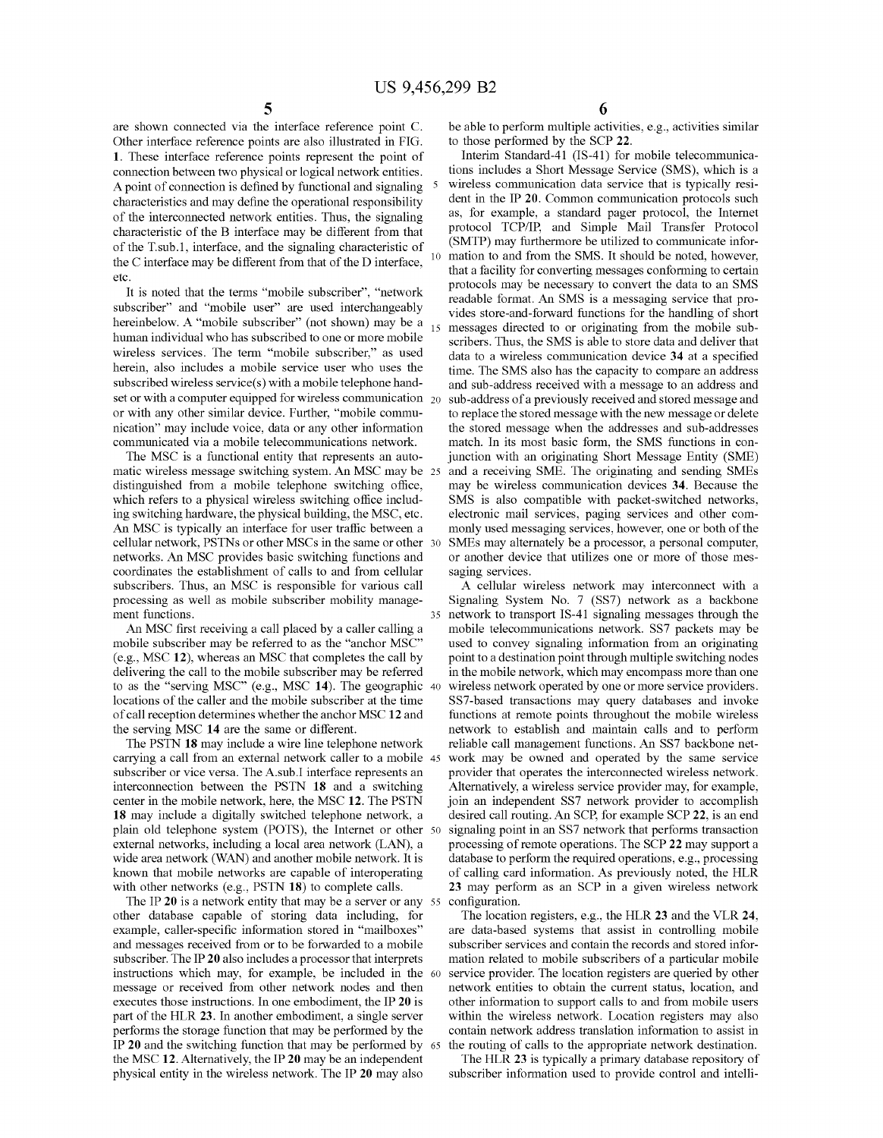are shown connected via the interface reference point C. Other interface reference points are also illustrated in FIG. **1.** These interface reference points represent the point of connection between two physical or logical network entities. A point of connection is defined by functional and signaling characteristics and may define the operational responsibility of the interconnected network entities. Thus, the signaling characteristic of the B interface may be different from that of the T.sub.1, interface, and the signaling characteristic of the C interface may be different from that of the D interface, etc.

It is noted that the terms "mobile subscriber", "network subscriber" and "mobile user" are used interchangeably hereinbelow. A "mobile subscriber" (not shown) may be a  $_{15}$ human individual who has subscribed to one or more mobile wireless services. The term "mobile subscriber," as used herein, also includes a mobile service user who uses the subscribed wireless service(s) with a mobile telephone handset or with a computer equipped for wireless communication  $_{20}$ or with any other similar device. Further, "mobile communication" may include voice, data or any other information communicated via a mobile telecommunications network.

The MSC is a functional entity that represents an automatic wireless message switching system. An MSC may be 25 distinguished from a mobile telephone switching office, which refers to a physical wireless switching office including switching hardware, the physical building, the MSC, etc. An MSC is typically an interface for user traffic between a cellular network, PSTNs or other MSCs in the same or other networks. An MSC provides basic switching functions and coordinates the establishment of calls to and from cellular subscribers. Thus, an MSC is responsible for various call processing as well as mobile subscriber mobility management functions.

An MSC first receiving a call placed by a caller calling a mobile subscriber may be referred to as the "anchor MSC" (e.g., MSC **12),** whereas an MSC that completes the call by delivering the call to the mobile subscriber may be referred to as the "serving MSC" (e.g., MSC **14).** The geographic locations of the caller and the mobile subscriber at the time of call reception determines whether the anchor MSC **12** and the serving MSC **14** are the same or different.

The PSTN **18** may include a wire line telephone network carrying a call from an external network caller to a mobile subscriber or vice versa. The A.sub.I interface represents an interconnection between the PSTN **18** and a switching center in the mobile network, here, the MSC **12.** The PSTN **18** may include a digitally switched telephone network, a plain old telephone system (POTS), the Internet or other 50 external networks, including a local area network (LAN), a wide area network (WAN) and another mobile network. It is known that mobile networks are capable of interoperating with other networks (e.g., PSTN **18)** to complete calls.

The IP 20 is a network entity that may be a server or any 55 other database capable of storing data including, for example, caller-specific information stored in "mailboxes" and messages received from or to be forwarded to a mobile subscriber. The IP **20** also includes a processor that interprets instructions which may, for example, be included in the message or received from other network nodes and then executes those instructions. In one embodiment, the IP **20** is part of the HLR **23.** In another embodiment, a single server performs the storage function that may be performed by the IP **20** and the switching function that may be performed by the MSC **12.** Alternatively, the IP **20** may be an independent physical entity in the wireless network. The IP **20** may also

be able to perform multiple activities, e.g., activities similar to those performed by the SCP **22.** 

Interim Standard-41 (IS-41) for mobile telecommunications includes a Short Message Service (SMS), which is a wireless communication data service that is typically resident in the IP **20.** Common communication protocols such as, for example, a standard pager protocol, the Internet protocol TCP/IP, and Simple Mail Transfer Protocol (SMTP) may furthermore be utilized to communicate information to and from the SMS. It should be noted, however, that a facility for converting messages conforming to certain protocols may be necessary to convert the data to an SMS readable format. An SMS is a messaging service that provides store-and-forward functions for the handling of short messages directed to or originating from the mobile subscribers. Thus, the SMS is able to store data and deliver that data to a wireless communication device **34** at a specified time. The SMS also has the capacity to compare an address and sub-address received with a message to an address and sub-address of a previously received and stored message and to replace the stored message with the new message or delete the stored message when the addresses and sub-addresses match. In its most basic form, the SMS functions in conjunction with an originating Short Message Entity (SME) and a receiving SME. The originating and sending SMEs may be wireless communication devices **34.** Because the SMS is also compatible with packet-switched networks, electronic mail services, paging services and other commonly used messaging services, however, one or both of the SMEs may alternately be a processor, a personal computer, or another device that utilizes one or more of those messaging services.

A cellular wireless network may interconnect with a Signaling System No. 7 (SS7) network as a backbone 35 network to transport IS-41 signaling messages through the mobile telecommunications network. SS7 packets may be used to convey signaling information from an originating point to a destination point through multiple switching nodes in the mobile network, which may encompass more than one wireless network operated by one or more service providers. SS7-based transactions may query databases and invoke functions at remote points throughout the mobile wireless network to establish and maintain calls and to perform reliable call management functions. An SS7 backbone network may be owned and operated by the same service provider that operates the interconnected wireless network. Alternatively, a wireless service provider may, for example, join an independent SS7 network provider to accomplish desired call routing. An SCP, for example SCP **22,** is an end signaling point in an SS7 network that performs transaction processing of remote operations. The SCP **22** may support a database to perform the required operations, e.g., processing of calling card information. As previously noted, the HLR **23** may perform as an SCP in a given wireless network configuration.

The location registers, e.g., the HLR **23** and the VLR **24,**  are data-based systems that assist in controlling mobile subscriber services and contain the records and stored information related to mobile subscribers of a particular mobile service provider. The location registers are queried by other network entities to obtain the current status, location, and other information to support calls to and from mobile users within the wireless network. Location registers may also contain network address translation information to assist in 65 the routing of calls to the appropriate network destination.

The HLR **23** is typically a primary database repository of subscriber information used to provide control and intelli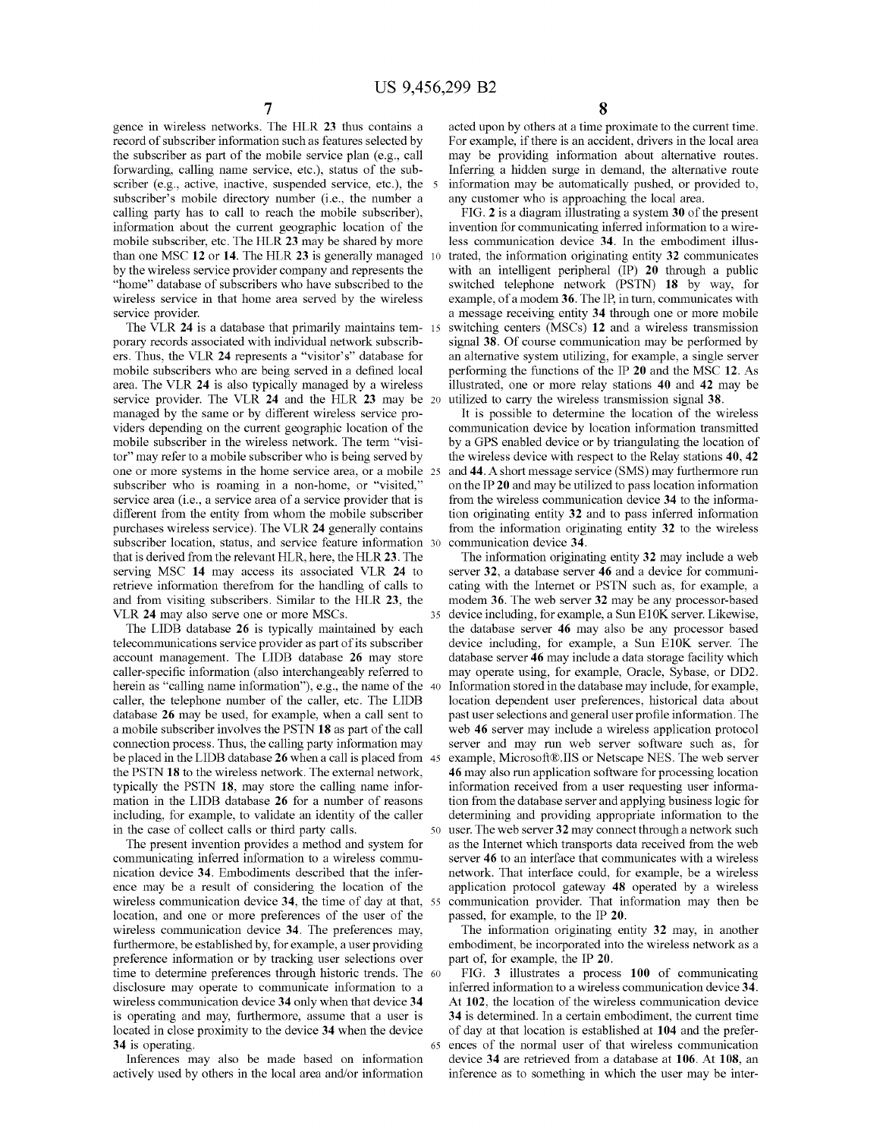gence in wireless networks. The HLR **23** thus contains a record of subscriber information such as features selected by the subscriber as part of the mobile service plan (e.g., call forwarding, calling name service, etc.), status of the subscriber (e.g., active, inactive, suspended service, etc.), the 5 subscriber's mobile directory number (i.e., the number a calling party has to call to reach the mobile subscriber), information about the current geographic location of the mobile subscriber, etc. The HLR **23** may be shared by more than one MSC **12 or 14.** The HLR **23** is generally managed 10 by the wireless service provider company and represents the "home" database of subscribers who have subscribed to the wireless service in that home area served by the wireless service provider.

The VLR **24** is a database that primarily maintains temporary records associated with individual network subscribers. Thus, the VLR **24** represents a "visitor's" database for mobile subscribers who are being served in a defined local area. The VLR **24** is also typically managed by a wireless service provider. The VLR **24** and the HLR **23** may be managed by the same or by different wireless service providers depending on the current geographic location of the mobile subscriber in the wireless network. The term "visitor" may refer to a mobile subscriber who is being served by one or more systems in the home service area, or a mobile subscriber who is roaming in a non-home, or "visited," service area (i.e., a service area of a service provider that is different from the entity from whom the mobile subscriber purchases wireless service). The VLR **24** generally contains subscriber location, status, and service feature information 30 that is derived from the relevant HLR, here, the HLR **23.** The serving MSC **14** may access its associated VLR **24** to retrieve information therefrom for the handling of calls to and from visiting subscribers. Similar to the HLR **23,** the VLR **24** may also serve one or more MSCs.

The LIDB database **26** is typically maintained by each telecommunications service provider as part of its subscriber account management. The LIDB database **26** may store caller-specific information (also interchangeably referred to herein as "calling name information"), e.g., the name of the 40 caller, the telephone number of the caller, etc. The LIDB database **26** may be used, for example, when a call sent to a mobile subscriber involves the PSTN **18** as part of the call connection process. Thus, the calling party information may be placed in the LIDB database **26** when a call is placed from 45 the PSTN **18** to the wireless network. The external network, typically the PSTN **18,** may store the calling name information in the LIDB database **26** for a number of reasons including, for example, to validate an identity of the caller

The present invention provides a method and system for communicating inferred information to a wireless communication device **34.** Embodiments described that the inference may be a result of considering the location of the wireless communication device **34,** the time of day at that, location, and one or more preferences of the user of the wireless communication device **34.** The preferences may, furthermore, be established by, for example, a user providing preference information or by tracking user selections over time to determine preferences through historic trends. The 60 disclosure may operate to communicate information to a wireless communication device **34** only when that device **34**  is operating and may, furthermore, assume that a user is located in close proximity to the device **34** when the device **34** is operating.

Inferences may also be made based on information actively used by others in the local area and/or information acted upon by others at a time proximate to the current time. For example, if there is an accident, drivers in the local area may be providing information about alternative routes. Inferring a hidden surge in demand, the alternative route information may be automatically pushed, or provided to, any customer who is approaching the local area.

FIG. **2** is a diagram illustrating a system **30** of the present invention for communicating inferred information to a wireless communication device **34.** In the embodiment illustrated, the information originating entity **32** communicates with an intelligent peripheral (IP) **20** through a public switched telephone network (PSTN) **18** by way, for example, of a modem **36.** The IP, in turn, communicates with a message receiving entity **34** through one or more mobile switching centers (MSCs) 12 and a wireless transmission signal **38.** Of course communication may be performed by an alternative system utilizing, for example, a single server performing the functions of the IP **20** and the MSC **12.** As illustrated, one or more relay stations **40** and **42** may be 20 utilized to carry the wireless transmission signal **38.** 

It is possible to determine the location of the wireless communication device by location information transmitted by a GPS enabled device or by triangulating the location of the wireless device with respect to the Relay stations **40, 42**  and 44. A short message service (SMS) may furthermore run on the IP **20** and may be utilized to pass location information from the wireless communication device **34** to the information originating entity **32** and to pass inferred information from the information originating entity **32** to the wireless communication device **34.** 

The information originating entity **32** may include a web server **32,** a database server **46** and a device for communicating with the Internet or PSTN such as, for example, a modem **36.** The web server **32** may be any processor-based device including, for example, a Sun E10K server. Likewise, the database server **46** may also be any processor based device including, for example, a Sun El0K server. The database server **46** may include a data storage facility which may operate using, for example, Oracle, Sybase, or DD2. Information stored in the database may include, for example, location dependent user preferences, historical data about past user selections and general user profile information. The web **46** server may include a wireless application protocol server and may run web server software such as, for example, Microsoft®.IIS or Netscape NES. The web server **46** may also run application software for processing location information received from a user requesting user information from the database server and applying business logic for determining and providing appropriate information to the in the case of collect calls or third party calls. 50 user. The web server **32** may connect through a network such as the Internet which transports data received from the web server **46** to an interface that communicates with a wireless network. That interface could, for example, be a wireless application protocol gateway **48** operated by a wireless communication provider. That information may then be passed, for example, to the IP **20.** 

> The information originating entity **32** may, in another embodiment, be incorporated into the wireless network as a part of, for example, the IP **20.**

FIG. **3** illustrates a process **100** of communicating inferred information to a wireless communication device **34.**  At **102,** the location of the wireless communication device **34** is determined. In a certain embodiment, the current time of day at that location is established at **104** and the prefer-65 ences of the normal user of that wireless communication device **34** are retrieved from a database at **106. At 108,** an inference as to something in which the user may be inter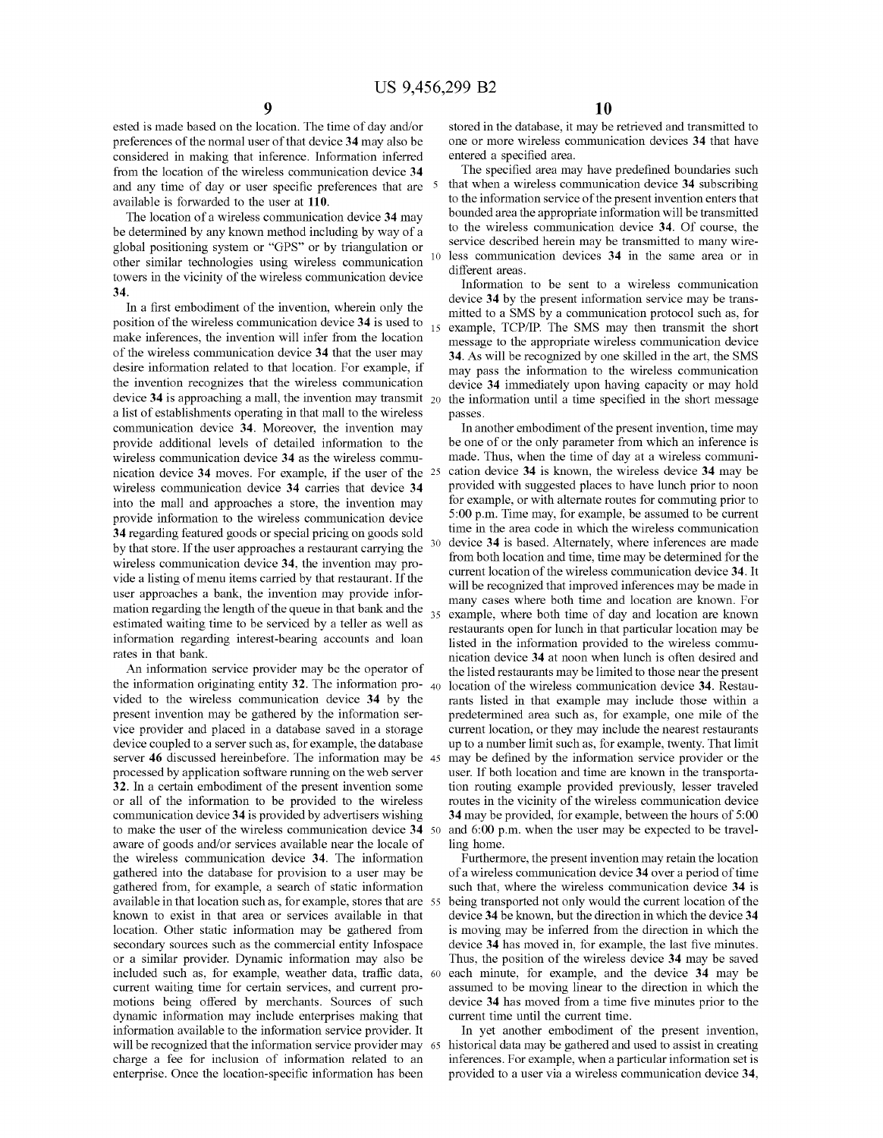ested is made based on the location. The time of day and/or preferences of the normal user of that device **34** may also be considered in making that inference. Information inferred from the location of the wireless communication device **34**  and any time of day or user specific preferences that are 5 available is forwarded to the user at **110.** 

The location of a wireless communication device **34** may be determined by any known method including by way of a global positioning system or "GPS" or by triangulation or other similar technologies using wireless communication towers in the vicinity of the wireless communication device **34.** 

position of the wireless communication device **34** is used to make inferences, the invention will infer from the location of the wireless communication device **34** that the user may desire information related to that location. For example, if the invention recognizes that the wireless communication device **34** is approaching a mall, the invention may transmit a list of establishments operating in that mall to the wireless communication device **34.** Moreover, the invention may provide additional levels of detailed information to the wireless communication device **34** as the wireless communication device **34** moves. For example, if the user of the 25 wireless communication device **34** carries that device **34**  into the mall and approaches a store, the invention may provide information to the wireless communication device **34** regarding featured goods or special pricing on goods sold by that store. If the user approaches a restaurant carrying the wireless communication device **34,** the invention may provide a listing of menu items carried by that restaurant. If the user approaches a bank, the invention may provide information regarding the length of the queue in that bank and the  $35$ estimated waiting time to be serviced by a teller as well as information regarding interest-bearing accounts and loan rates in that bank.

An information service provider may be the operator of the information originating entity **32.** The information pro- 40 vided to the wireless communication device **34** by the present invention may be gathered by the information service provider and placed in a database saved in a storage device coupled to a server such as, for example, the database server **46** discussed hereinbefore. The information may be 45 processed by application software running on the web server **32.** In a certain embodiment of the present invention some or all of the information to be provided to the wireless communication device **34** is provided by advertisers wishing to make the user of the wireless communication device **34** <sup>50</sup> aware of goods and/or services available near the locale of the wireless communication device **34.** The information gathered into the database for provision to a user may be gathered from, for example, a search of static information available in that location such as, for example, stores that are known to exist in that area or services available in that location. Other static information may be gathered from secondary sources such as the commercial entity Infospace or a similar provider. Dynamic information may also be included such as, for example, weather data, traffic data, current waiting time for certain services, and current promotions being offered by merchants. Sources of such dynamic information may include enterprises making that information available to the information service provider. It will be recognized that the information service provider may charge a fee for inclusion of information related to an enterprise. Once the location-specific information has been

stored in the database, it may be retrieved and transmitted to one or more wireless communication devices **34** that have entered a specified area.

The specified area may have predefined boundaries such that when a wireless communication device **34** subscribing to the information service of the present invention enters that bounded area the appropriate information will be transmitted to the wireless communication device **34.** Of course, the service described herein may be transmitted to many wireless communication devices 34 in the same area or in different areas.

Information to be sent to a wireless communication device **34** by the present information service may be trans-In a first embodiment of the invention, wherein only the  $\frac{1}{2}$  mitted to a SMS by a communication protocol such as, for example, TCP/IP. The SMS may then transmit the short message to the appropriate wireless communication device **34.** As will be recognized by one skilled in the art, the SMS may pass the information to the wireless communication device **34** immediately upon having capacity or may hold the information until a time specified in the short message passes.

> In another embodiment of the present invention, time may be one of or the only parameter from which an inference is made. Thus, when the time of day at a wireless communication device **34** is known, the wireless device **34** may be provided with suggested places to have lunch prior to noon for example, or with alternate routes for commuting prior to 5:00 p.m. Time may, for example, be assumed to be current time in the area code in which the wireless communication device **34** is based. Alternately, where inferences are made from both location and time, time may be determined for the current location of the wireless communication device **34.** It will be recognized that improved inferences may be made in many cases where both time and location are known. For example, where both time of day and location are known restaurants open for lunch in that particular location may be listed in the information provided to the wireless communication device **34** at noon when lunch is often desired and the listed restaurants may be limited to those near the present location of the wireless communication device **34.** Restaurants listed in that example may include those within a predetermined area such as, for example, one mile of the current location, or they may include the nearest restaurants up to a number limit such as, for example, twenty. That limit may be defined by the information service provider or the user. If both location and time are known in the transportation routing example provided previously, lesser traveled routes in the vicinity of the wireless communication device **34** may be provided, for example, between the hours of 5:00 and 6:00 p.m. when the user may be expected to be travelling home.

> Furthermore, the present invention may retain the location of a wireless communication device **34** over a period of time such that, where the wireless communication device **34** is being transported not only would the current location of the device **34** be known, but the direction in which the device **34**  is moving may be inferred from the direction in which the device **34** has moved in, for example, the last five minutes. Thus, the position of the wireless device **34** may be saved each minute, for example, and the device 34 may be assumed to be moving linear to the direction in which the device **34** has moved from a time five minutes prior to the current time until the current time.

In yet another embodiment of the present invention, 65 historical data may be gathered and used to assist in creating inferences. For example, when a particular information set is provided to a user via a wireless communication device **34,**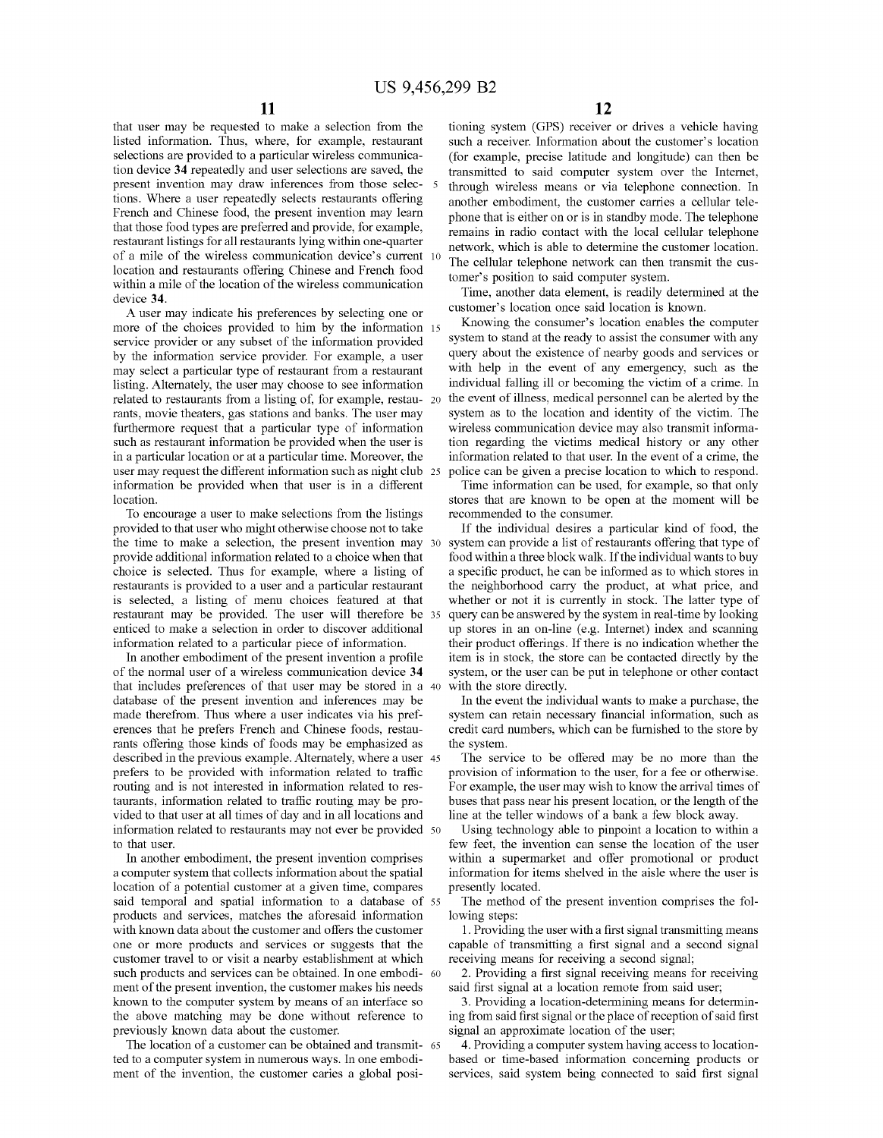that user may be requested to make a selection from the listed information. Thus, where, for example, restaurant selections are provided to a particular wireless communication device **34** repeatedly and user selections are saved, the present invention may draw inferences from those selections. Where a user repeatedly selects restaurants offering French and Chinese food, the present invention may learn that those food types are preferred and provide, for example, restaurant listings for all restaurants lying within one-quarter of a mile of the wireless communication device's current location and restaurants offering Chinese and French food within a mile of the location of the wireless communication device **34.** 

A user may indicate his preferences by selecting one or more of the choices provided to him by the information 15 service provider or any subset of the information provided by the information service provider. For example, a user may select a particular type of restaurant from a restaurant listing. Alternately, the user may choose to see information related to restaurants from a listing of, for example, restau- 20 rants, movie theaters, gas stations and banks. The user may furthermore request that a particular type of information such as restaurant information be provided when the user is in a particular location or at a particular time. Moreover, the user may request the different information such as night club 25 information be provided when that user is in a different location.

To encourage a user to make selections from the listings provided to that user who might otherwise choose not to take the time to make a selection, the present invention may 30 provide additional information related to a choice when that choice is selected. Thus for example, where a listing of restaurants is provided to a user and a particular restaurant is selected, a listing of menu choices featured at that restaurant may be provided. The user will therefore be enticed to make a selection in order to discover additional information related to a particular piece of information.

In another embodiment of the present invention a profile of the normal user of a wireless communication device **34** system, or the user can be put in telephone or other contact that includes preferences of that user may be stored in a database of the present invention and inferences may be made therefrom. Thus where a user indicates via his preferences that he prefers French and Chinese foods, restaurants offering those kinds of foods may be emphasized as described in the previous example. Alternately, where a user 45 prefers to be provided with information related to traffic routing and is not interested in information related to restaurants, information related to traffic routing may be provided to that user at all times of day and in all locations and information related to restaurants may not ever be provided 50 to that user.

In another embodiment, the present invention comprises a computer system that collects information about the spatial location of a potential customer at a given time, compares said temporal and spatial information to a database of 55 products and services, matches the aforesaid information with known data about the customer and offers the customer one or more products and services or suggests that the customer travel to or visit a nearby establishment at which such products and services can be obtained. In one embodi- 60 ment of the present invention, the customer makes his needs known to the computer system by means of an interface so the above matching may be done without reference to previously known data about the customer.

The location of a customer can be obtained and transmit- <sup>65</sup> ted to a computer system in numerous ways. In one embodiment of the invention, the customer caries a global posi-

tioning system (GPS) receiver or drives a vehicle having such a receiver. Information about the customer's location (for example, precise latitude and longitude) can then be transmitted to said computer system over the Internet, through wireless means or via telephone connection. In another embodiment, the customer carries a cellular telephone that is either on or is in standby mode. The telephone remains in radio contact with the local cellular telephone network, which is able to determine the customer location. The cellular telephone network can then transmit the customer's position to said computer system.

Time, another data element, is readily determined at the customer's location once said location is known.

Knowing the consumer's location enables the computer system to stand at the ready to assist the consumer with any query about the existence of nearby goods and services or with help in the event of any emergency, such as the individual falling ill or becoming the victim of a crime. In the event of illness, medical personnel can be alerted by the system as to the location and identity of the victim. The wireless communication device may also transmit information regarding the victims medical history or any other information related to that user. In the event of a crime, the 25 police can be given a precise location to which to respond.

Time information can be used, for example, so that only stores that are known to be open at the moment will be recommended to the consumer.

If the individual desires a particular kind of food, the system can provide a list of restaurants offering that type of food within a three block walk. If the individual wants to buy a specific product, he can be informed as to which stores in the neighborhood carry the product, at what price, and whether or not it is currently in stock. The latter type of query can be answered by the system in real-time by looking up stores in an on-line (e.g. Internet) index and scanning their product offerings. If there is no indication whether the item is in stock, the store can be contacted directly by the with the store directly.

In the event the individual wants to make a purchase, the system can retain necessary financial information, such as credit card numbers, which can be furnished to the store by the system.

The service to be offered may be no more than the provision of information to the user, for a fee or otherwise. For example, the user may wish to know the arrival times of buses that pass near his present location, or the length of the line at the teller windows of a bank a few block away.

Using technology able to pinpoint a location to within a few feet, the invention can sense the location of the user within a supermarket and offer promotional or product information for items shelved in the aisle where the user is presently located.

The method of the present invention comprises the following steps:

1. Providing the user with a first signal transmitting means capable of transmitting a first signal and a second signal receiving means for receiving a second signal;

2. Providing a first signal receiving means for receiving said first signal at a location remote from said user;

3. Providing a location-determining means for determining from said first signal or the place of reception of said first signal an approximate location of the user;

4. Providing a computer system having access to locationbased or time-based information concerning products or services, said system being connected to said first signal